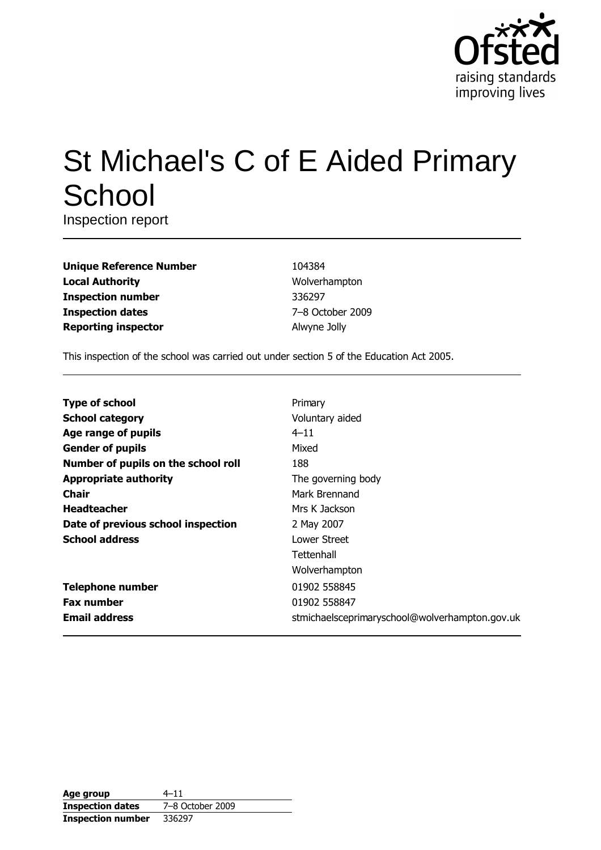

# St Michael's C of E Aided Primary School

Inspection report

| <b>Unique Reference Number</b> |
|--------------------------------|
| <b>Local Authority</b>         |
| <b>Inspection number</b>       |
| <b>Inspection dates</b>        |
| <b>Reporting inspector</b>     |

104384 Wolverhampton 336297 7-8 October 2009 Alwyne Jolly

This inspection of the school was carried out under section 5 of the Education Act 2005.

| <b>Type of school</b>               | Primary                                        |
|-------------------------------------|------------------------------------------------|
| <b>School category</b>              | Voluntary aided                                |
| Age range of pupils                 | $4 - 11$                                       |
| <b>Gender of pupils</b>             | Mixed                                          |
| Number of pupils on the school roll | 188                                            |
| <b>Appropriate authority</b>        | The governing body                             |
| Chair                               | Mark Brennand                                  |
| <b>Headteacher</b>                  | Mrs K Jackson                                  |
| Date of previous school inspection  | 2 May 2007                                     |
| <b>School address</b>               | Lower Street                                   |
|                                     | Tettenhall                                     |
|                                     | Wolverhampton                                  |
| <b>Telephone number</b>             | 01902 558845                                   |
| <b>Fax number</b>                   | 01902 558847                                   |
| <b>Email address</b>                | stmichaelsceprimaryschool@wolverhampton.gov.uk |

| Age group                | $4 - 11$         |
|--------------------------|------------------|
| <b>Inspection dates</b>  | 7-8 October 2009 |
| <b>Inspection number</b> | 336297           |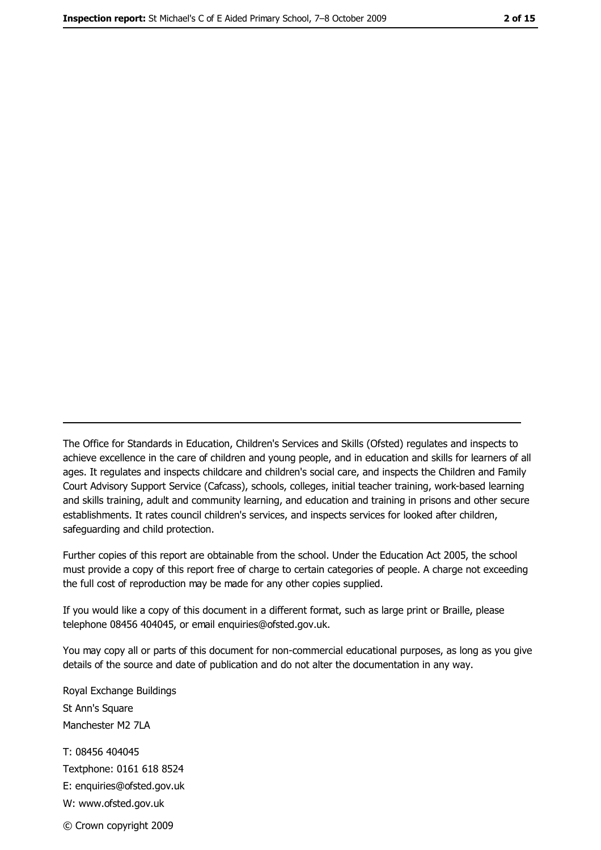The Office for Standards in Education, Children's Services and Skills (Ofsted) regulates and inspects to achieve excellence in the care of children and young people, and in education and skills for learners of all ages. It regulates and inspects childcare and children's social care, and inspects the Children and Family Court Advisory Support Service (Cafcass), schools, colleges, initial teacher training, work-based learning and skills training, adult and community learning, and education and training in prisons and other secure establishments. It rates council children's services, and inspects services for looked after children, safeguarding and child protection.

Further copies of this report are obtainable from the school. Under the Education Act 2005, the school must provide a copy of this report free of charge to certain categories of people. A charge not exceeding the full cost of reproduction may be made for any other copies supplied.

If you would like a copy of this document in a different format, such as large print or Braille, please telephone 08456 404045, or email enquiries@ofsted.gov.uk.

You may copy all or parts of this document for non-commercial educational purposes, as long as you give details of the source and date of publication and do not alter the documentation in any way.

Royal Exchange Buildings St Ann's Square Manchester M2 7LA T: 08456 404045 Textphone: 0161 618 8524 E: enquiries@ofsted.gov.uk W: www.ofsted.gov.uk © Crown copyright 2009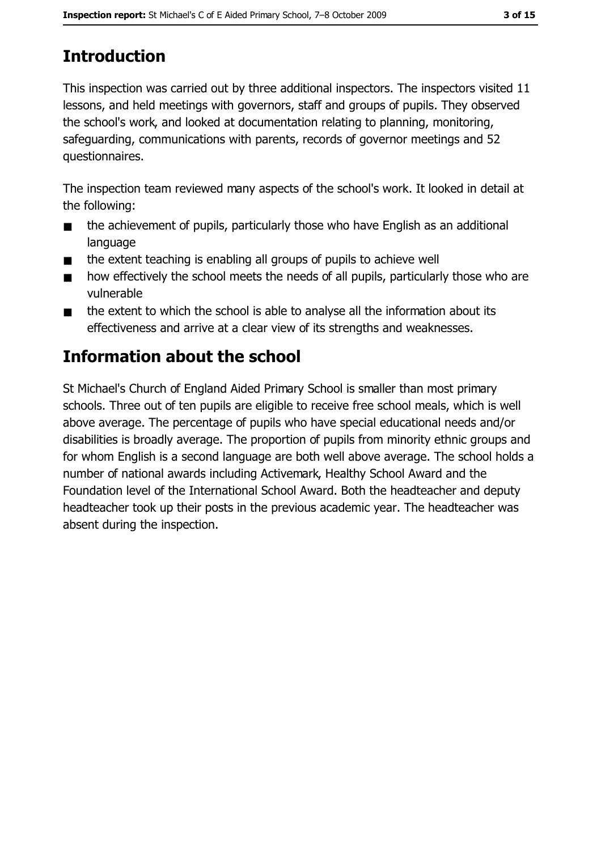# **Introduction**

This inspection was carried out by three additional inspectors. The inspectors visited 11 lessons, and held meetings with governors, staff and groups of pupils. They observed the school's work, and looked at documentation relating to planning, monitoring, safeguarding, communications with parents, records of governor meetings and 52 questionnaires.

The inspection team reviewed many aspects of the school's work. It looked in detail at the following:

- the achievement of pupils, particularly those who have English as an additional  $\blacksquare$ language
- the extent teaching is enabling all groups of pupils to achieve well  $\blacksquare$
- how effectively the school meets the needs of all pupils, particularly those who are  $\blacksquare$ vulnerable
- the extent to which the school is able to analyse all the information about its  $\blacksquare$ effectiveness and arrive at a clear view of its strengths and weaknesses.

# **Information about the school**

St Michael's Church of England Aided Primary School is smaller than most primary schools. Three out of ten pupils are eligible to receive free school meals, which is well above average. The percentage of pupils who have special educational needs and/or disabilities is broadly average. The proportion of pupils from minority ethnic groups and for whom English is a second language are both well above average. The school holds a number of national awards including Activemark, Healthy School Award and the Foundation level of the International School Award. Both the headteacher and deputy headteacher took up their posts in the previous academic year. The headteacher was absent during the inspection.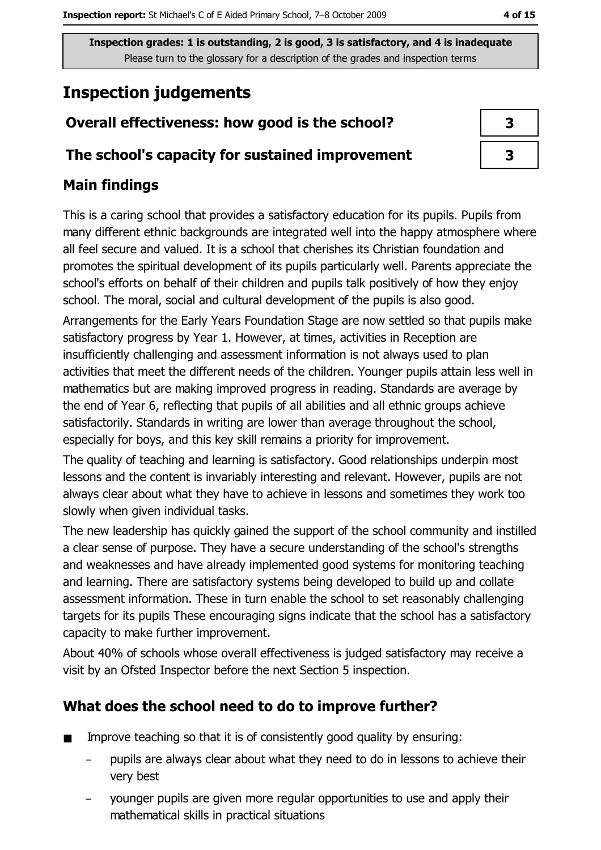# **Inspection judgements**

# Overall effectiveness: how good is the school?

### The school's capacity for sustained improvement

## **Main findings**

This is a caring school that provides a satisfactory education for its pupils. Pupils from many different ethnic backgrounds are integrated well into the happy atmosphere where all feel secure and valued. It is a school that cherishes its Christian foundation and promotes the spiritual development of its pupils particularly well. Parents appreciate the school's efforts on behalf of their children and pupils talk positively of how they enjoy school. The moral, social and cultural development of the pupils is also good. Arrangements for the Early Years Foundation Stage are now settled so that pupils make satisfactory progress by Year 1. However, at times, activities in Reception are insufficiently challenging and assessment information is not always used to plan activities that meet the different needs of the children. Younger pupils attain less well in mathematics but are making improved progress in reading. Standards are average by the end of Year 6, reflecting that pupils of all abilities and all ethnic groups achieve satisfactorily. Standards in writing are lower than average throughout the school, especially for boys, and this key skill remains a priority for improvement.

The quality of teaching and learning is satisfactory. Good relationships underpin most lessons and the content is invariably interesting and relevant. However, pupils are not always clear about what they have to achieve in lessons and sometimes they work too slowly when given individual tasks.

The new leadership has quickly gained the support of the school community and instilled a clear sense of purpose. They have a secure understanding of the school's strengths and weaknesses and have already implemented good systems for monitoring teaching and learning. There are satisfactory systems being developed to build up and collate assessment information. These in turn enable the school to set reasonably challenging targets for its pupils These encouraging signs indicate that the school has a satisfactory capacity to make further improvement.

About 40% of schools whose overall effectiveness is judged satisfactory may receive a visit by an Ofsted Inspector before the next Section 5 inspection.

# What does the school need to do to improve further?

- Improve teaching so that it is of consistently good quality by ensuring:  $\blacksquare$ 
	- pupils are always clear about what they need to do in lessons to achieve their very best
	- younger pupils are given more regular opportunities to use and apply their mathematical skills in practical situations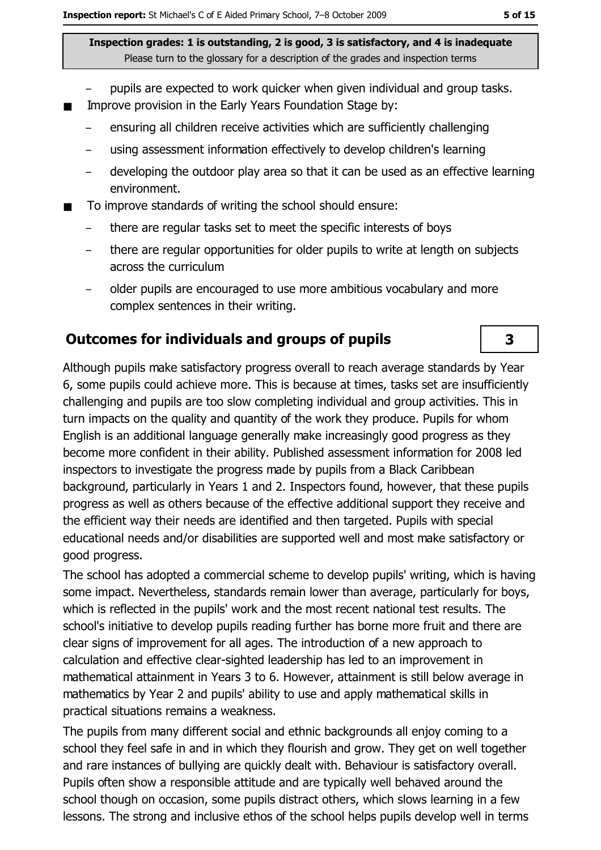- pupils are expected to work quicker when given individual and group tasks.
- Improve provision in the Early Years Foundation Stage by:  $\blacksquare$ 
	- ensuring all children receive activities which are sufficiently challenging
	- using assessment information effectively to develop children's learning
	- developing the outdoor play area so that it can be used as an effective learning  $\overline{\phantom{0}}$ environment.
- To improve standards of writing the school should ensure:
	- there are regular tasks set to meet the specific interests of boys
	- there are regular opportunities for older pupils to write at length on subjects across the curriculum
	- older pupils are encouraged to use more ambitious vocabulary and more complex sentences in their writing.

### Outcomes for individuals and groups of pupils

Although pupils make satisfactory progress overall to reach average standards by Year 6, some pupils could achieve more. This is because at times, tasks set are insufficiently challenging and pupils are too slow completing individual and group activities. This in turn impacts on the quality and quantity of the work they produce. Pupils for whom English is an additional language generally make increasingly good progress as they become more confident in their ability. Published assessment information for 2008 led inspectors to investigate the progress made by pupils from a Black Caribbean background, particularly in Years 1 and 2. Inspectors found, however, that these pupils progress as well as others because of the effective additional support they receive and the efficient way their needs are identified and then targeted. Pupils with special educational needs and/or disabilities are supported well and most make satisfactory or good progress.

The school has adopted a commercial scheme to develop pupils' writing, which is having some impact. Nevertheless, standards remain lower than average, particularly for boys, which is reflected in the pupils' work and the most recent national test results. The school's initiative to develop pupils reading further has borne more fruit and there are clear signs of improvement for all ages. The introduction of a new approach to calculation and effective clear-sighted leadership has led to an improvement in mathematical attainment in Years 3 to 6. However, attainment is still below average in mathematics by Year 2 and pupils' ability to use and apply mathematical skills in practical situations remains a weakness.

The pupils from many different social and ethnic backgrounds all enjoy coming to a school they feel safe in and in which they flourish and grow. They get on well together and rare instances of bullying are quickly dealt with. Behaviour is satisfactory overall. Pupils often show a responsible attitude and are typically well behaved around the school though on occasion, some pupils distract others, which slows learning in a few lessons. The strong and inclusive ethos of the school helps pupils develop well in terms

3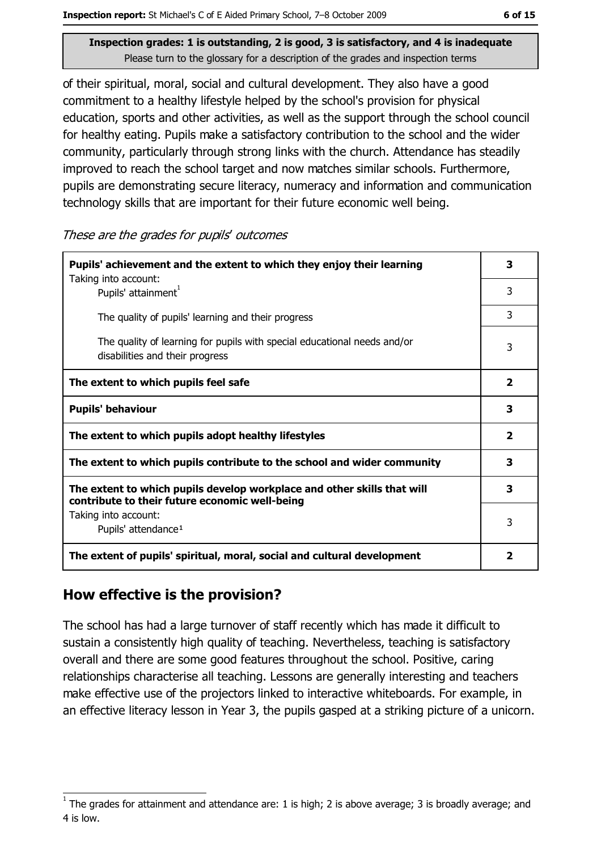of their spiritual, moral, social and cultural development. They also have a good commitment to a healthy lifestyle helped by the school's provision for physical education, sports and other activities, as well as the support through the school council for healthy eating. Pupils make a satisfactory contribution to the school and the wider community, particularly through strong links with the church. Attendance has steadily improved to reach the school target and now matches similar schools. Furthermore, pupils are demonstrating secure literacy, numeracy and information and communication technology skills that are important for their future economic well being.

These are the grades for pupils' outcomes

| Pupils' achievement and the extent to which they enjoy their learning                                                     |                         |  |  |
|---------------------------------------------------------------------------------------------------------------------------|-------------------------|--|--|
| Taking into account:<br>Pupils' attainment <sup>1</sup>                                                                   | 3                       |  |  |
| The quality of pupils' learning and their progress                                                                        | 3                       |  |  |
| The quality of learning for pupils with special educational needs and/or<br>disabilities and their progress               | 3                       |  |  |
| The extent to which pupils feel safe                                                                                      | $\overline{\mathbf{2}}$ |  |  |
| <b>Pupils' behaviour</b>                                                                                                  | 3                       |  |  |
| The extent to which pupils adopt healthy lifestyles                                                                       | $\overline{\mathbf{2}}$ |  |  |
| The extent to which pupils contribute to the school and wider community                                                   | 3                       |  |  |
| The extent to which pupils develop workplace and other skills that will<br>contribute to their future economic well-being |                         |  |  |
| Taking into account:<br>Pupils' attendance <sup>1</sup>                                                                   | 3                       |  |  |
| The extent of pupils' spiritual, moral, social and cultural development                                                   | 2                       |  |  |

#### How effective is the provision?

The school has had a large turnover of staff recently which has made it difficult to sustain a consistently high quality of teaching. Nevertheless, teaching is satisfactory overall and there are some good features throughout the school. Positive, caring relationships characterise all teaching. Lessons are generally interesting and teachers make effective use of the projectors linked to interactive whiteboards. For example, in an effective literacy lesson in Year 3, the pupils gasped at a striking picture of a unicorn.

The grades for attainment and attendance are: 1 is high; 2 is above average; 3 is broadly average; and 4 is low.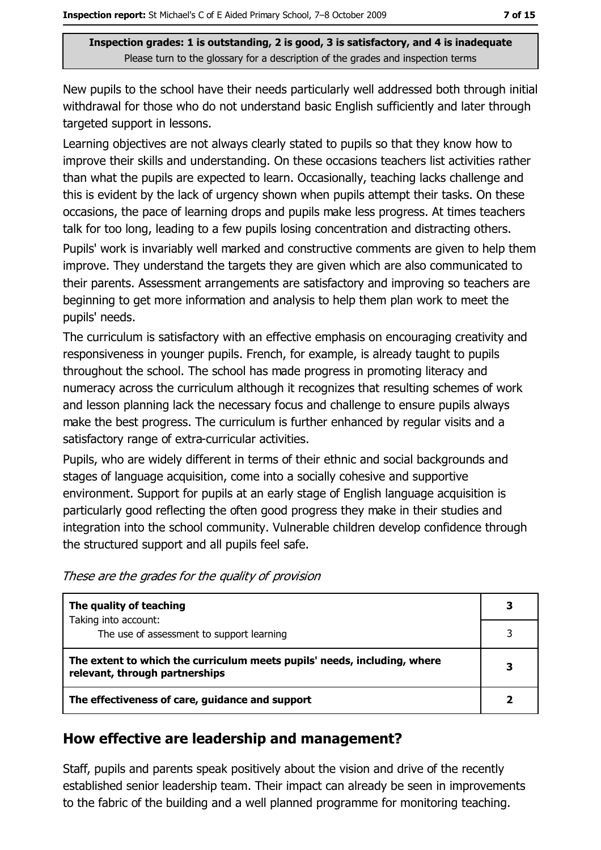New pupils to the school have their needs particularly well addressed both through initial withdrawal for those who do not understand basic English sufficiently and later through targeted support in lessons.

Learning objectives are not always clearly stated to pupils so that they know how to improve their skills and understanding. On these occasions teachers list activities rather than what the pupils are expected to learn. Occasionally, teaching lacks challenge and this is evident by the lack of urgency shown when pupils attempt their tasks. On these occasions, the pace of learning drops and pupils make less progress. At times teachers talk for too long, leading to a few pupils losing concentration and distracting others.

Pupils' work is invariably well marked and constructive comments are given to help them improve. They understand the targets they are given which are also communicated to their parents. Assessment arrangements are satisfactory and improving so teachers are beginning to get more information and analysis to help them plan work to meet the pupils' needs.

The curriculum is satisfactory with an effective emphasis on encouraging creativity and responsiveness in younger pupils. French, for example, is already taught to pupils throughout the school. The school has made progress in promoting literacy and numeracy across the curriculum although it recognizes that resulting schemes of work and lesson planning lack the necessary focus and challenge to ensure pupils always make the best progress. The curriculum is further enhanced by regular visits and a satisfactory range of extra-curricular activities.

Pupils, who are widely different in terms of their ethnic and social backgrounds and stages of language acquisition, come into a socially cohesive and supportive environment. Support for pupils at an early stage of English language acquisition is particularly good reflecting the often good progress they make in their studies and integration into the school community. Vulnerable children develop confidence through the structured support and all pupils feel safe.

| These are the grades for the quality of provision |  |
|---------------------------------------------------|--|
|---------------------------------------------------|--|

| The quality of teaching                                                                                    |   |
|------------------------------------------------------------------------------------------------------------|---|
| Taking into account:<br>The use of assessment to support learning                                          |   |
| The extent to which the curriculum meets pupils' needs, including, where<br>relevant, through partnerships | 3 |
| The effectiveness of care, guidance and support                                                            |   |

### How effective are leadership and management?

Staff, pupils and parents speak positively about the vision and drive of the recently established senior leadership team. Their impact can already be seen in improvements to the fabric of the building and a well planned programme for monitoring teaching.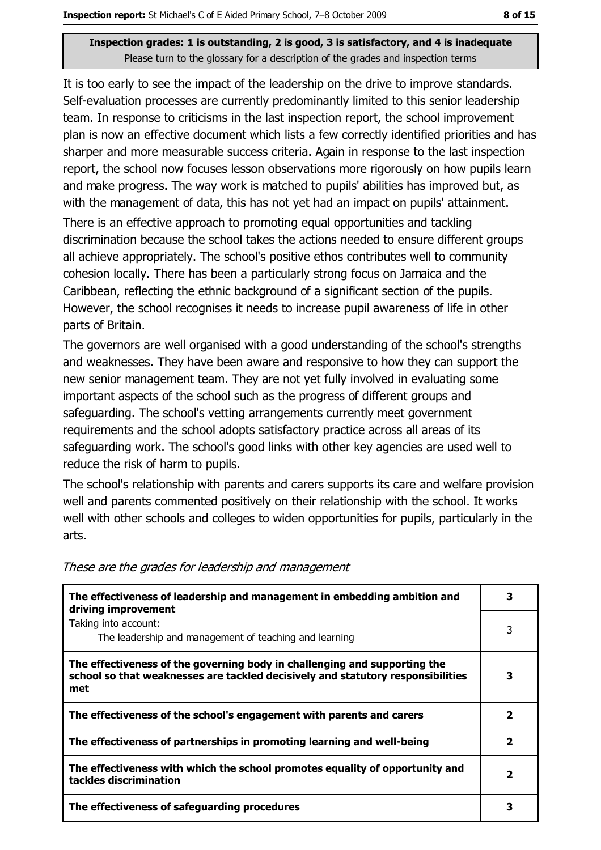It is too early to see the impact of the leadership on the drive to improve standards. Self-evaluation processes are currently predominantly limited to this senior leadership team. In response to criticisms in the last inspection report, the school improvement plan is now an effective document which lists a few correctly identified priorities and has sharper and more measurable success criteria. Again in response to the last inspection report, the school now focuses lesson observations more rigorously on how pupils learn and make progress. The way work is matched to pupils' abilities has improved but, as with the management of data, this has not yet had an impact on pupils' attainment.

There is an effective approach to promoting equal opportunities and tackling discrimination because the school takes the actions needed to ensure different groups all achieve appropriately. The school's positive ethos contributes well to community cohesion locally. There has been a particularly strong focus on Jamaica and the Caribbean, reflecting the ethnic background of a significant section of the pupils. However, the school recognises it needs to increase pupil awareness of life in other parts of Britain.

The governors are well organised with a good understanding of the school's strengths and weaknesses. They have been aware and responsive to how they can support the new senior management team. They are not yet fully involved in evaluating some important aspects of the school such as the progress of different groups and safeguarding. The school's vetting arrangements currently meet government requirements and the school adopts satisfactory practice across all areas of its safeguarding work. The school's good links with other key agencies are used well to reduce the risk of harm to pupils.

The school's relationship with parents and carers supports its care and welfare provision well and parents commented positively on their relationship with the school. It works well with other schools and colleges to widen opportunities for pupils, particularly in the arts.

| The effectiveness of leadership and management in embedding ambition and<br>driving improvement                                                                     | 3            |
|---------------------------------------------------------------------------------------------------------------------------------------------------------------------|--------------|
| Taking into account:<br>The leadership and management of teaching and learning                                                                                      | 3            |
| The effectiveness of the governing body in challenging and supporting the<br>school so that weaknesses are tackled decisively and statutory responsibilities<br>met | 3            |
| The effectiveness of the school's engagement with parents and carers                                                                                                | 2            |
| The effectiveness of partnerships in promoting learning and well-being                                                                                              | 2            |
| The effectiveness with which the school promotes equality of opportunity and<br>tackles discrimination                                                              | $\mathbf{2}$ |
| The effectiveness of safeguarding procedures                                                                                                                        |              |

These are the grades for leadership and management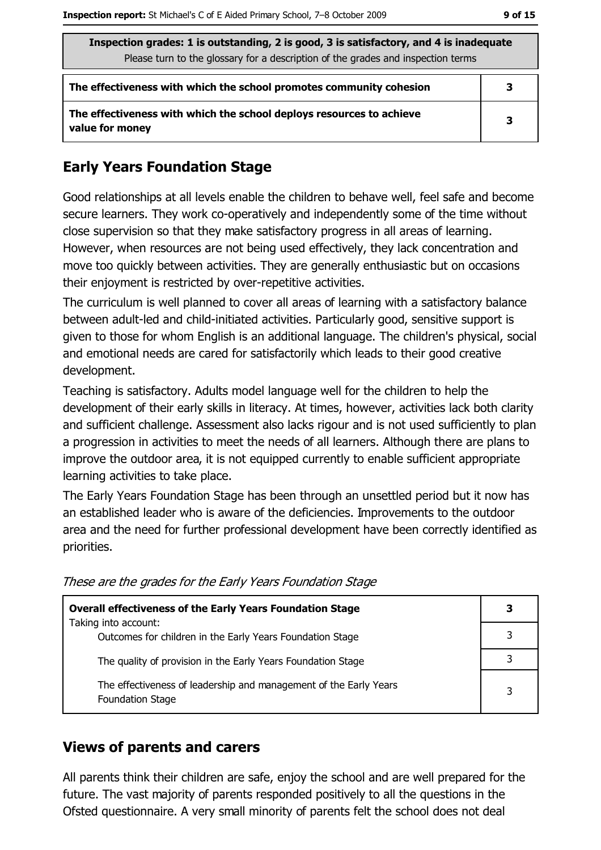3

| Inspection grades: 1 is outstanding, 2 is good, 3 is satisfactory, and 4 is inadequate |   |  |
|----------------------------------------------------------------------------------------|---|--|
| Please turn to the glossary for a description of the grades and inspection terms       |   |  |
| The effectiveness with which the school promotes community cohesion                    | 3 |  |
| The effectiveness with which the school deploys resources to achieve                   |   |  |

**Early Years Foundation Stage** 

value for money

Good relationships at all levels enable the children to behave well, feel safe and become secure learners. They work co-operatively and independently some of the time without close supervision so that they make satisfactory progress in all areas of learning. However, when resources are not being used effectively, they lack concentration and move too quickly between activities. They are generally enthusiastic but on occasions their enjoyment is restricted by over-repetitive activities.

The curriculum is well planned to cover all areas of learning with a satisfactory balance between adult-led and child-initiated activities. Particularly good, sensitive support is given to those for whom English is an additional language. The children's physical, social and emotional needs are cared for satisfactorily which leads to their good creative development.

Teaching is satisfactory. Adults model language well for the children to help the development of their early skills in literacy. At times, however, activities lack both clarity and sufficient challenge. Assessment also lacks rigour and is not used sufficiently to plan a progression in activities to meet the needs of all learners. Although there are plans to improve the outdoor area, it is not equipped currently to enable sufficient appropriate learning activities to take place.

The Early Years Foundation Stage has been through an unsettled period but it now has an established leader who is aware of the deficiencies. Improvements to the outdoor area and the need for further professional development have been correctly identified as priorities.

| <b>Overall effectiveness of the Early Years Foundation Stage</b>                             | 3 |
|----------------------------------------------------------------------------------------------|---|
| Taking into account:<br>Outcomes for children in the Early Years Foundation Stage            |   |
| The quality of provision in the Early Years Foundation Stage                                 |   |
| The effectiveness of leadership and management of the Early Years<br><b>Foundation Stage</b> | 3 |

These are the grades for the Early Years Foundation Stage

# **Views of parents and carers**

All parents think their children are safe, enjoy the school and are well prepared for the future. The vast majority of parents responded positively to all the questions in the Ofsted questionnaire. A very small minority of parents felt the school does not deal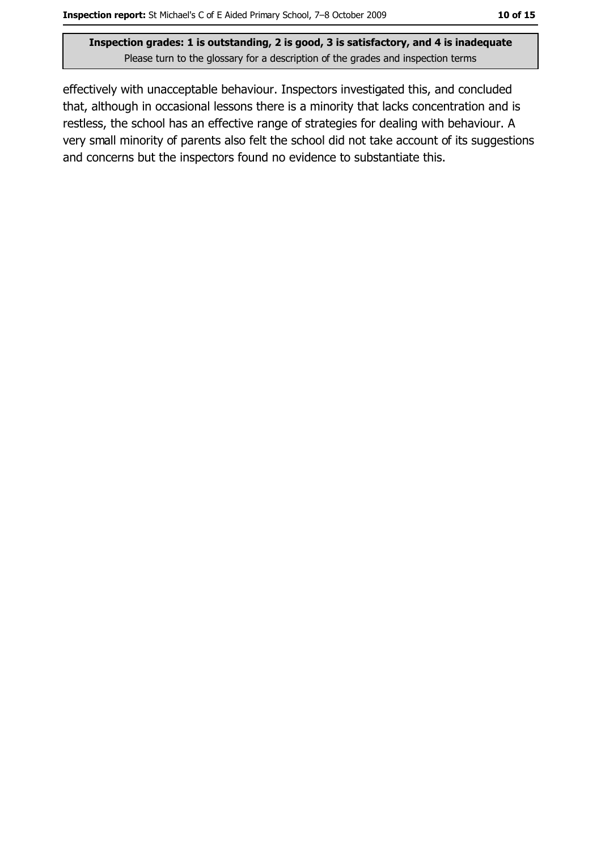effectively with unacceptable behaviour. Inspectors investigated this, and concluded that, although in occasional lessons there is a minority that lacks concentration and is restless, the school has an effective range of strategies for dealing with behaviour. A

very small minority of parents also felt the school did not take account of its suggestions and concerns but the inspectors found no evidence to substantiate this.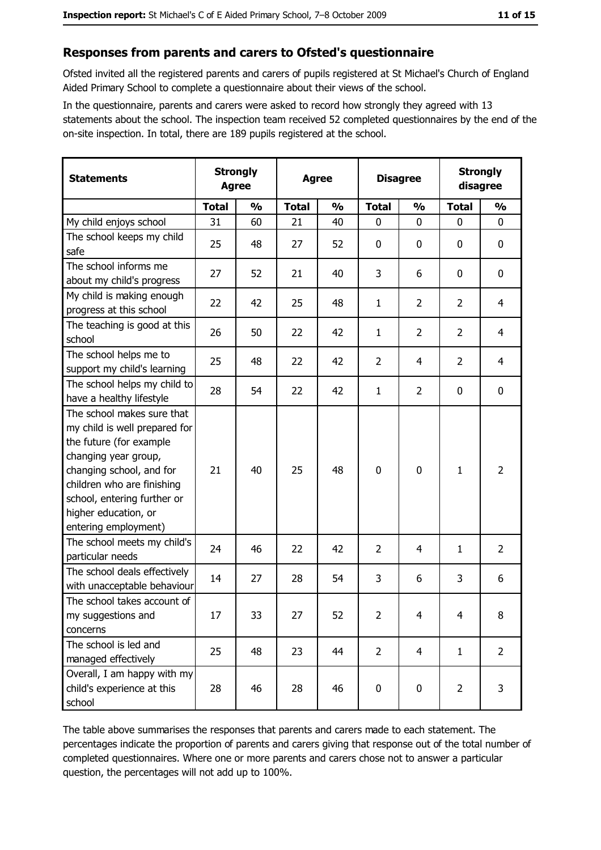#### Responses from parents and carers to Ofsted's questionnaire

Ofsted invited all the registered parents and carers of pupils registered at St Michael's Church of England Aided Primary School to complete a questionnaire about their views of the school.

In the questionnaire, parents and carers were asked to record how strongly they agreed with 13 statements about the school. The inspection team received 52 completed questionnaires by the end of the on-site inspection. In total, there are 189 pupils registered at the school.

| <b>Statements</b>                                                                                                                                                                                                                                       | <b>Strongly</b><br><b>Agree</b> |               |              | <b>Agree</b>  |                | <b>Disagree</b> |                | <b>Strongly</b><br>disagree |
|---------------------------------------------------------------------------------------------------------------------------------------------------------------------------------------------------------------------------------------------------------|---------------------------------|---------------|--------------|---------------|----------------|-----------------|----------------|-----------------------------|
|                                                                                                                                                                                                                                                         | <b>Total</b>                    | $\frac{0}{0}$ | <b>Total</b> | $\frac{0}{0}$ | <b>Total</b>   | $\frac{0}{0}$   | <b>Total</b>   | $\frac{0}{0}$               |
| My child enjoys school                                                                                                                                                                                                                                  | 31                              | 60            | 21           | 40            | $\mathbf 0$    | 0               | $\mathbf{0}$   | 0                           |
| The school keeps my child<br>safe                                                                                                                                                                                                                       | 25                              | 48            | 27           | 52            | $\mathbf 0$    | 0               | 0              | 0                           |
| The school informs me<br>about my child's progress                                                                                                                                                                                                      | 27                              | 52            | 21           | 40            | 3              | 6               | 0              | 0                           |
| My child is making enough<br>progress at this school                                                                                                                                                                                                    | 22                              | 42            | 25           | 48            | $\mathbf{1}$   | $\overline{2}$  | $\overline{2}$ | $\overline{4}$              |
| The teaching is good at this<br>school                                                                                                                                                                                                                  | 26                              | 50            | 22           | 42            | 1              | $\overline{2}$  | $\overline{2}$ | $\overline{4}$              |
| The school helps me to<br>support my child's learning                                                                                                                                                                                                   | 25                              | 48            | 22           | 42            | $\overline{2}$ | 4               | $\overline{2}$ | $\overline{4}$              |
| The school helps my child to<br>have a healthy lifestyle                                                                                                                                                                                                | 28                              | 54            | 22           | 42            | $\mathbf{1}$   | $\overline{2}$  | 0              | $\bf{0}$                    |
| The school makes sure that<br>my child is well prepared for<br>the future (for example<br>changing year group,<br>changing school, and for<br>children who are finishing<br>school, entering further or<br>higher education, or<br>entering employment) | 21                              | 40            | 25           | 48            | $\mathbf 0$    | 0               | 1              | $\overline{2}$              |
| The school meets my child's<br>particular needs                                                                                                                                                                                                         | 24                              | 46            | 22           | 42            | $\overline{2}$ | 4               | 1              | $\overline{2}$              |
| The school deals effectively<br>with unacceptable behaviour                                                                                                                                                                                             | 14                              | 27            | 28           | 54            | 3              | 6               | 3              | 6                           |
| The school takes account of<br>my suggestions and<br>concerns                                                                                                                                                                                           | 17                              | 33            | 27           | 52            | $\overline{2}$ | 4               | 4              | 8                           |
| The school is led and<br>managed effectively                                                                                                                                                                                                            | 25                              | 48            | 23           | 44            | $\overline{2}$ | 4               | $\mathbf{1}$   | $\overline{2}$              |
| Overall, I am happy with my<br>child's experience at this<br>school                                                                                                                                                                                     | 28                              | 46            | 28           | 46            | $\pmb{0}$      | 0               | $\overline{2}$ | 3                           |

The table above summarises the responses that parents and carers made to each statement. The percentages indicate the proportion of parents and carers giving that response out of the total number of completed questionnaires. Where one or more parents and carers chose not to answer a particular question, the percentages will not add up to 100%.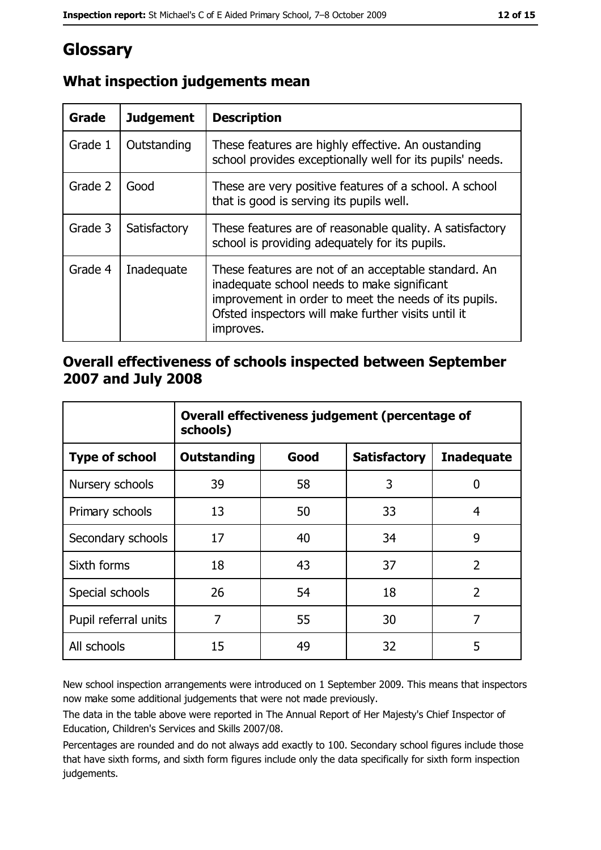# Glossary

| Grade   | <b>Judgement</b> | <b>Description</b>                                                                                                                                                                                                               |
|---------|------------------|----------------------------------------------------------------------------------------------------------------------------------------------------------------------------------------------------------------------------------|
| Grade 1 | Outstanding      | These features are highly effective. An oustanding<br>school provides exceptionally well for its pupils' needs.                                                                                                                  |
| Grade 2 | Good             | These are very positive features of a school. A school<br>that is good is serving its pupils well.                                                                                                                               |
| Grade 3 | Satisfactory     | These features are of reasonable quality. A satisfactory<br>school is providing adequately for its pupils.                                                                                                                       |
| Grade 4 | Inadequate       | These features are not of an acceptable standard. An<br>inadequate school needs to make significant<br>improvement in order to meet the needs of its pupils.<br>Ofsted inspectors will make further visits until it<br>improves. |

# What inspection judgements mean

### Overall effectiveness of schools inspected between September 2007 and July 2008

|                       | Overall effectiveness judgement (percentage of<br>schools) |      |                     |                   |  |
|-----------------------|------------------------------------------------------------|------|---------------------|-------------------|--|
| <b>Type of school</b> | Outstanding                                                | Good | <b>Satisfactory</b> | <b>Inadequate</b> |  |
| Nursery schools       | 39                                                         | 58   | 3                   | 0                 |  |
| Primary schools       | 13                                                         | 50   | 33                  | 4                 |  |
| Secondary schools     | 17                                                         | 40   | 34                  | 9                 |  |
| Sixth forms           | 18                                                         | 43   | 37                  | $\overline{2}$    |  |
| Special schools       | 26                                                         | 54   | 18                  | $\overline{2}$    |  |
| Pupil referral units  | 7                                                          | 55   | 30                  | 7                 |  |
| All schools           | 15                                                         | 49   | 32                  | 5                 |  |

New school inspection arrangements were introduced on 1 September 2009. This means that inspectors now make some additional judgements that were not made previously.

The data in the table above were reported in The Annual Report of Her Majesty's Chief Inspector of Education, Children's Services and Skills 2007/08.

Percentages are rounded and do not always add exactly to 100. Secondary school figures include those that have sixth forms, and sixth form figures include only the data specifically for sixth form inspection judgements.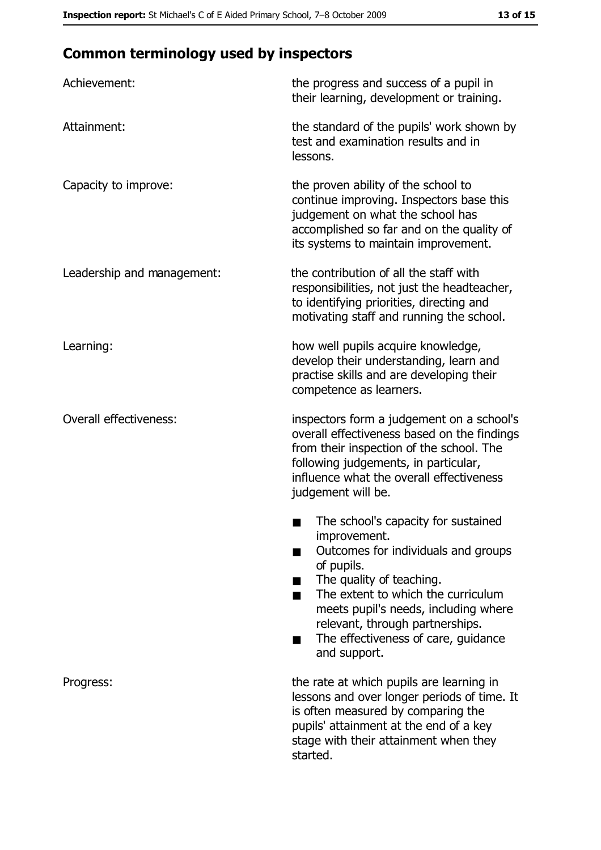# **Common terminology used by inspectors**

| Achievement:                  | the progress and success of a pupil in<br>their learning, development or training.                                                                                                                                                                                                                           |
|-------------------------------|--------------------------------------------------------------------------------------------------------------------------------------------------------------------------------------------------------------------------------------------------------------------------------------------------------------|
| Attainment:                   | the standard of the pupils' work shown by<br>test and examination results and in<br>lessons.                                                                                                                                                                                                                 |
| Capacity to improve:          | the proven ability of the school to<br>continue improving. Inspectors base this<br>judgement on what the school has<br>accomplished so far and on the quality of<br>its systems to maintain improvement.                                                                                                     |
| Leadership and management:    | the contribution of all the staff with<br>responsibilities, not just the headteacher,<br>to identifying priorities, directing and<br>motivating staff and running the school.                                                                                                                                |
| Learning:                     | how well pupils acquire knowledge,<br>develop their understanding, learn and<br>practise skills and are developing their<br>competence as learners.                                                                                                                                                          |
| <b>Overall effectiveness:</b> | inspectors form a judgement on a school's<br>overall effectiveness based on the findings<br>from their inspection of the school. The<br>following judgements, in particular,<br>influence what the overall effectiveness<br>judgement will be.                                                               |
|                               | The school's capacity for sustained<br>improvement.<br>Outcomes for individuals and groups<br>of pupils.<br>The quality of teaching.<br>The extent to which the curriculum<br>meets pupil's needs, including where<br>relevant, through partnerships.<br>The effectiveness of care, guidance<br>and support. |
| Progress:                     | the rate at which pupils are learning in<br>lessons and over longer periods of time. It<br>is often measured by comparing the<br>pupils' attainment at the end of a key<br>stage with their attainment when they<br>started.                                                                                 |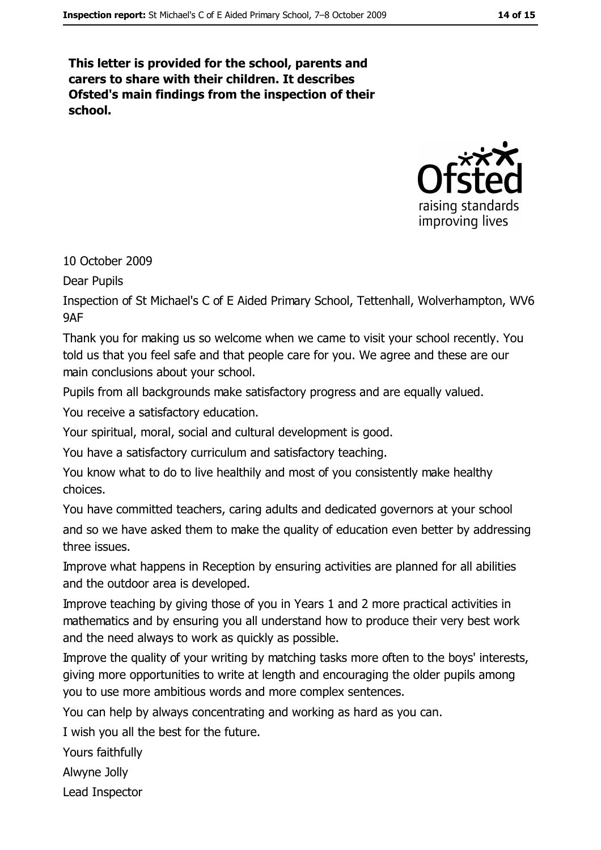This letter is provided for the school, parents and carers to share with their children. It describes Ofsted's main findings from the inspection of their school.



10 October 2009

**Dear Pupils** 

Inspection of St Michael's C of E Aided Primary School, Tettenhall, Wolverhampton, WV6 **9AF** 

Thank you for making us so welcome when we came to visit your school recently. You told us that you feel safe and that people care for you. We agree and these are our main conclusions about your school.

Pupils from all backgrounds make satisfactory progress and are equally valued.

You receive a satisfactory education.

Your spiritual, moral, social and cultural development is good.

You have a satisfactory curriculum and satisfactory teaching.

You know what to do to live healthily and most of you consistently make healthy choices.

You have committed teachers, caring adults and dedicated governors at your school and so we have asked them to make the quality of education even better by addressing three issues.

Improve what happens in Reception by ensuring activities are planned for all abilities and the outdoor area is developed.

Improve teaching by giving those of you in Years 1 and 2 more practical activities in mathematics and by ensuring you all understand how to produce their very best work and the need always to work as quickly as possible.

Improve the quality of your writing by matching tasks more often to the boys' interests, giving more opportunities to write at length and encouraging the older pupils among you to use more ambitious words and more complex sentences.

You can help by always concentrating and working as hard as you can.

I wish you all the best for the future.

Yours faithfully

Alwyne Jolly

Lead Inspector